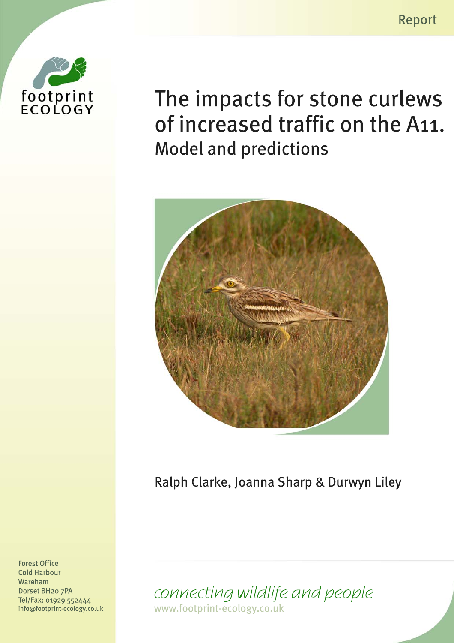Report



The impacts for stone curlews of increased traffic on the A11. **Model and predictions** 



Ralph Clarke, Joanna Sharp & Durwyn Liley

**Cold Harbour** Wareham Dorset BH<sub>20</sub> 7PA Tel/Fax: 01929 552444 info@footprint-ecology.co.uk

**Forest Office** 

connecting wildlife and people www.footprint-ecology.co.uk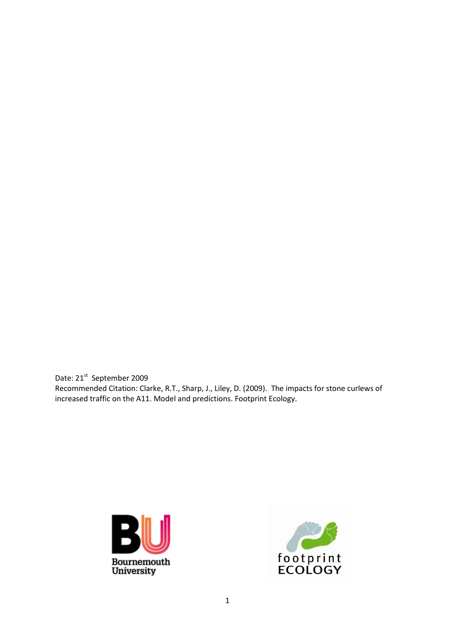Date: 21<sup>st</sup> September 2009 Recommended Citation: Clarke, R.T., Sharp, J., Liley, D. (2009). The impacts for stone curlews of increased traffic on the A11. Model and predictions. Footprint Ecology.



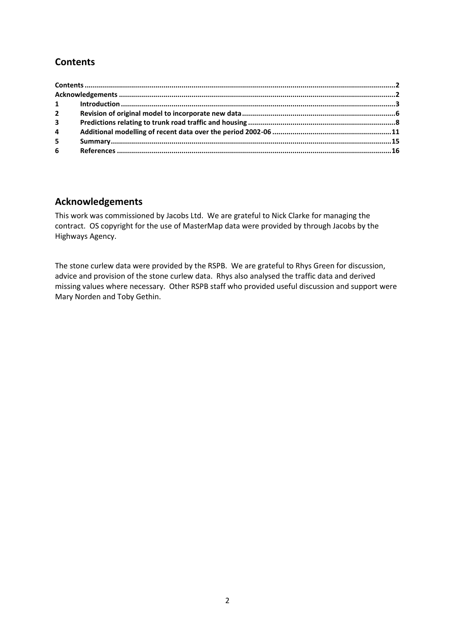# <span id="page-2-0"></span>**Contents**

| $2^{\circ}$    |  |
|----------------|--|
| 3 <sup>7</sup> |  |
| $\overline{4}$ |  |
| 5              |  |
| $6 -$          |  |

### <span id="page-2-1"></span>**Acknowledgements**

This work was commissioned by Jacobs Ltd. We are grateful to Nick Clarke for managing the contract. OS copyright for the use of MasterMap data were provided by through Jacobs by the Highways Agency.

The stone curlew data were provided by the RSPB. We are grateful to Rhys Green for discussion, advice and provision of the stone curlew data. Rhys also analysed the traffic data and derived missing values where necessary. Other RSPB staff who provided useful discussion and support were Mary Norden and Toby Gethin.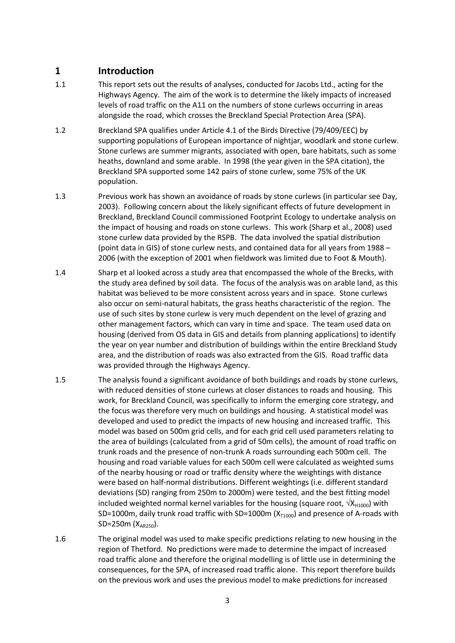#### <span id="page-3-0"></span>**1 Introduction**

- 1.1 This report sets out the results of analyses, conducted for Jacobs Ltd., acting for the Highways Agency. The aim of the work is to determine the likely impacts of increased levels of road traffic on the A11 on the numbers of stone curlews occurring in areas alongside the road, which crosses the Breckland Special Protection Area (SPA).
- 1.2 Breckland SPA qualifies under Article 4.1 of the Birds Directive (79/409/EEC) by supporting populations of European importance of nightjar, woodlark and stone curlew. Stone curlews are summer migrants, associated with open, bare habitats, such as some heaths, downland and some arable. In 1998 (the year given in the SPA citation), the Breckland SPA supported some 142 pairs of stone curlew, some 75% of the UK population.
- 1.3 Previous work has shown an avoidance of roads by stone curlews (in particular see Day, 2003). Following concern about the likely significant effects of future development in Breckland, Breckland Council commissioned Footprint Ecology to undertake analysis on the impact of housing and roads on stone curlews. This work (Sharp et al., 2008) used stone curlew data provided by the RSPB. The data involved the spatial distribution (point data in GIS) of stone curlew nests, and contained data for all years from 1988 – 2006 (with the exception of 2001 when fieldwork was limited due to Foot & Mouth).
- 1.4 Sharp et al looked across a study area that encompassed the whole of the Brecks, with the study area defined by soil data. The focus of the analysis was on arable land, as this habitat was believed to be more consistent across years and in space. Stone curlews also occur on semi-natural habitats, the grass heaths characteristic of the region. The use of such sites by stone curlew is very much dependent on the level of grazing and other management factors, which can vary in time and space. The team used data on housing (derived from OS data in GIS and details from planning applications) to identify the year on year number and distribution of buildings within the entire Breckland Study area, and the distribution of roads was also extracted from the GIS. Road traffic data was provided through the Highways Agency.
- 1.5 The analysis found a significant avoidance of both buildings and roads by stone curlews, with reduced densities of stone curlews at closer distances to roads and housing. This work, for Breckland Council, was specifically to inform the emerging core strategy, and the focus was therefore very much on buildings and housing. A statistical model was developed and used to predict the impacts of new housing and increased traffic. This model was based on 500m grid cells, and for each grid cell used parameters relating to the area of buildings (calculated from a grid of 50m cells), the amount of road traffic on trunk roads and the presence of non-trunk A roads surrounding each 500m cell. The housing and road variable values for each 500m cell were calculated as weighted sums of the nearby housing or road or traffic density where the weightings with distance were based on half-normal distributions. Different weightings (i.e. different standard deviations (SD) ranging from 250m to 2000m) were tested, and the best fitting model included weighted normal kernel variables for the housing (square root,  $\sqrt{X_{H1000}}$ ) with SD=1000m, daily trunk road traffic with SD=1000m ( $X_{T1000}$ ) and presence of A-roads with  $SD=250m (X_{AP250})$ .
- 1.6 The original model was used to make specific predictions relating to new housing in the region of Thetford. No predictions were made to determine the impact of increased road traffic alone and therefore the original modelling is of little use in determining the consequences, for the SPA, of increased road traffic alone. This report therefore builds on the previous work and uses the previous model to make predictions for increased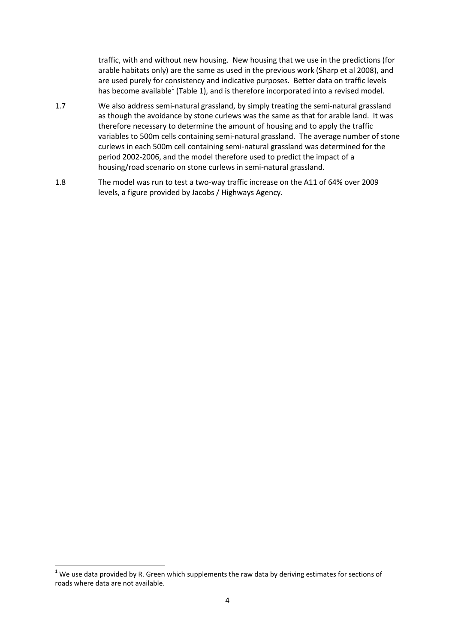traffic, with and without new housing. New housing that we use in the predictions (for arable habitats only) are the same as used in the previous work (Sharp et al 2008), and are used purely for consistency and indicative purposes. Better data on traffic levels has become available<sup>1</sup> [\(Table 1\)](#page-5-0), and is therefore incorporated into a revised model.

- 1.7 We also address semi-natural grassland, by simply treating the semi-natural grassland as though the avoidance by stone curlews was the same as that for arable land. It was therefore necessary to determine the amount of housing and to apply the traffic variables to 500m cells containing semi-natural grassland. The average number of stone curlews in each 500m cell containing semi-natural grassland was determined for the period 2002-2006, and the model therefore used to predict the impact of a housing/road scenario on stone curlews in semi-natural grassland.
- 1.8 The model was run to test a two-way traffic increase on the A11 of 64% over 2009 levels, a figure provided by Jacobs / Highways Agency.

**.** 

 $1$  We use data provided by R. Green which supplements the raw data by deriving estimates for sections of roads where data are not available.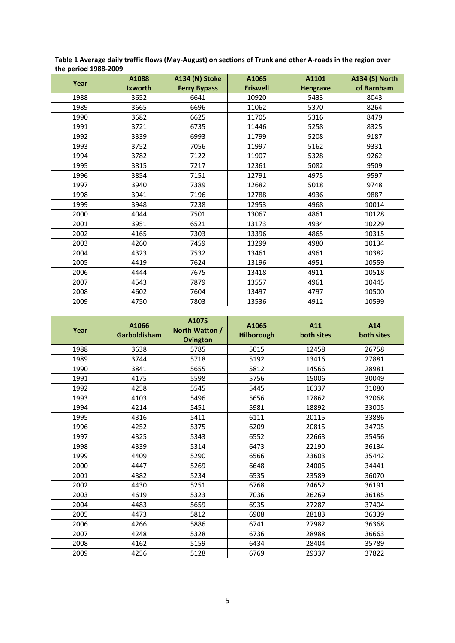| c period 1988 1989 |                         |                                       |                          |                          |                                     |  |  |
|--------------------|-------------------------|---------------------------------------|--------------------------|--------------------------|-------------------------------------|--|--|
| Year               | A1088<br><b>Ixworth</b> | A134 (N) Stoke<br><b>Ferry Bypass</b> | A1065<br><b>Eriswell</b> | A1101<br><b>Hengrave</b> | <b>A134 (S) North</b><br>of Barnham |  |  |
| 1988               | 3652                    | 6641                                  | 10920                    | 5433                     | 8043                                |  |  |
|                    |                         |                                       |                          |                          |                                     |  |  |
| 1989               | 3665                    | 6696                                  | 11062                    | 5370                     | 8264                                |  |  |
| 1990               | 3682                    | 6625                                  | 11705                    | 5316                     | 8479                                |  |  |
| 1991               | 3721                    | 6735                                  | 11446                    | 5258                     | 8325                                |  |  |
| 1992               | 3339                    | 6993                                  | 11799                    | 5208                     | 9187                                |  |  |
| 1993               | 3752                    | 7056                                  | 11997                    | 5162                     | 9331                                |  |  |
| 1994               | 3782                    | 7122                                  | 11907                    | 5328                     | 9262                                |  |  |
| 1995               | 3815                    | 7217                                  | 12361                    | 5082                     | 9509                                |  |  |
| 1996               | 3854                    | 7151                                  | 12791                    | 4975                     | 9597                                |  |  |
| 1997               | 3940                    | 7389                                  | 12682                    | 5018                     | 9748                                |  |  |
| 1998               | 3941                    | 7196                                  | 12788                    | 4936                     | 9887                                |  |  |
| 1999               | 3948                    | 7238                                  | 12953                    | 4968                     | 10014                               |  |  |
| 2000               | 4044                    | 7501                                  | 13067                    | 4861                     | 10128                               |  |  |
| 2001               | 3951                    | 6521                                  | 13173                    | 4934                     | 10229                               |  |  |
| 2002               | 4165                    | 7303                                  | 13396                    | 4865                     | 10315                               |  |  |
| 2003               | 4260                    | 7459                                  | 13299                    | 4980                     | 10134                               |  |  |
| 2004               | 4323                    | 7532                                  | 13461                    | 4961                     | 10382                               |  |  |
| 2005               | 4419                    | 7624                                  | 13196                    | 4951                     | 10559                               |  |  |
| 2006               | 4444                    | 7675                                  | 13418                    | 4911                     | 10518                               |  |  |
| 2007               | 4543                    | 7879                                  | 13557                    | 4961                     | 10445                               |  |  |
| 2008               | 4602                    | 7604                                  | 13497                    | 4797                     | 10500                               |  |  |
| 2009               | 4750                    | 7803                                  | 13536                    | 4912                     | 10599                               |  |  |

<span id="page-5-0"></span>**Table 1 Average daily traffic flows (May-August) on sections of Trunk and other A-roads in the region over the period 1988-2009**

| Year | A1066<br>Garboldisham | A1075<br>North Watton /<br><b>Ovington</b> | A1065<br><b>Hilborough</b> | A11<br>both sites | A14<br>both sites |
|------|-----------------------|--------------------------------------------|----------------------------|-------------------|-------------------|
| 1988 | 3638                  | 5785                                       | 5015                       | 12458             | 26758             |
| 1989 | 3744                  | 5718                                       | 5192                       | 13416             | 27881             |
| 1990 | 3841                  | 5655                                       | 5812                       | 14566             | 28981             |
| 1991 | 4175                  | 5598                                       | 5756                       | 15006             | 30049             |
| 1992 | 4258                  | 5545                                       | 5445                       | 16337             | 31080             |
| 1993 | 4103                  | 5496                                       | 5656                       | 17862             | 32068             |
| 1994 | 4214                  | 5451                                       | 5981                       | 18892             | 33005             |
| 1995 | 4316                  | 5411                                       | 6111                       | 20115             | 33886             |
| 1996 | 4252                  | 5375                                       | 6209                       | 20815             | 34705             |
| 1997 | 4325                  | 5343                                       | 6552                       | 22663             | 35456             |
| 1998 | 4339                  | 5314                                       | 6473                       | 22190             | 36134             |
| 1999 | 4409                  | 5290                                       | 6566                       | 23603             | 35442             |
| 2000 | 4447                  | 5269                                       | 6648                       | 24005             | 34441             |
| 2001 | 4382                  | 5234                                       | 6535                       | 23589             | 36070             |
| 2002 | 4430                  | 5251                                       | 6768                       | 24652             | 36191             |
| 2003 | 4619                  | 5323                                       | 7036                       | 26269             | 36185             |
| 2004 | 4483                  | 5659                                       | 6935                       | 27287             | 37404             |
| 2005 | 4473                  | 5812                                       | 6908                       | 28183             | 36339             |
| 2006 | 4266                  | 5886                                       | 6741                       | 27982             | 36368             |
| 2007 | 4248                  | 5328                                       | 6736                       | 28988             | 36663             |
| 2008 | 4162                  | 5159                                       | 6434                       | 28404             | 35789             |
| 2009 | 4256                  | 5128                                       | 6769                       | 29337             | 37822             |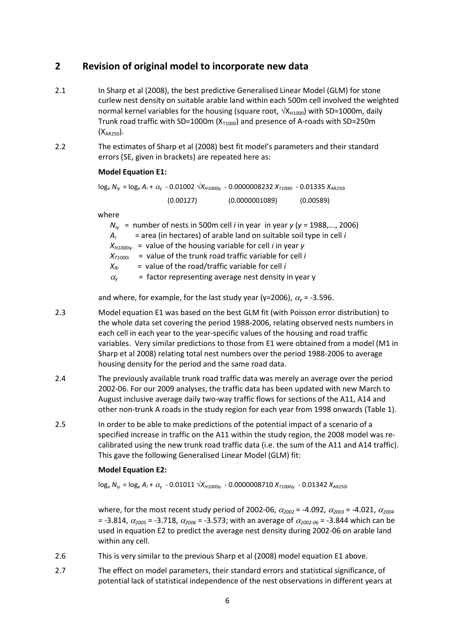### <span id="page-6-0"></span>**2 Revision of original model to incorporate new data**

- 2.1 In Sharp et al (2008), the best predictive Generalised Linear Model (GLM) for stone curlew nest density on suitable arable land within each 500m cell involved the weighted normal kernel variables for the housing (square root,  $\sqrt{X_{H1000}}$ ) with SD=1000m, daily Trunk road traffic with SD=1000m ( $X_{T1000}$ ) and presence of A-roads with SD=250m  $(X_{\text{AP250}})$ .
- 2.2 The estimates of Sharp et al (2008) best fit model's parameters and their standard errors (SE, given in brackets) are repeated here as:

#### **Model Equation E1:**

log<sup>e</sup> *Niy* = log<sup>e</sup> *A<sup>i</sup>* + *<sup>y</sup>* - 0.01002 √*XH1000iy* - 0.0000008232 *XT1000i* - 0.01335 *XAR250i* (0.00127) (0.0000001089) (0.00589)

where

|                  | $N_{iv}$ = number of nests in 500m cell <i>i</i> in year in year y (y = 1988,, 2006) |
|------------------|--------------------------------------------------------------------------------------|
| $A_i$            | $=$ area (in hectares) of arable land on suitable soil type in cell i                |
| $X_{H10000}$ iv  | = value of the housing variable for cell $i$ in year $y$                             |
| $X_{T1000i}$     | $=$ value of the trunk road traffic variable for cell i                              |
| $X_{Ri}$         | = value of the road/traffic variable for cell $i$                                    |
| $\alpha_{\rm v}$ | = factor representing average nest density in year y                                 |

and where, for example, for the last study year (y=2006),  $\alpha_{\nu}$  = -3.596.

- 2.3 Model equation E1 was based on the best GLM fit (with Poisson error distribution) to the whole data set covering the period 1988-2006, relating observed nests numbers in each cell in each year to the year-specific values of the housing and road traffic variables. Very similar predictions to those from E1 were obtained from a model (M1 in Sharp et al 2008) relating total nest numbers over the period 1988-2006 to average housing density for the period and the same road data.
- 2.4 The previously available trunk road traffic data was merely an average over the period 2002-06. For our 2009 analyses, the traffic data has been updated with new March to August inclusive average daily two-way traffic flows for sections of the A11, A14 and other non-trunk A roads in the study region for each year from 1998 onwards [\(Table 1\)](#page-5-0).
- 2.5 In order to be able to make predictions of the potential impact of a scenario of a specified increase in traffic on the A11 within the study region, the 2008 model was recalibrated using the new trunk road traffic data (i.e. the sum of the A11 and A14 traffic). This gave the following Generalised Linear Model (GLM) fit:

#### **Model Equation E2:**

log<sup>e</sup> *Niy* = log<sup>e</sup> *A<sup>i</sup>* + *<sup>y</sup>* - 0.01011 √*XH1000iy* - 0.0000008710 *XT1000iy* - 0.01342 *XAR250i*

where, for the most recent study period of 2002-06,  $\alpha_{2002}$  = -4.092,  $\alpha_{2003}$  = -4.021,  $\alpha_{2004}$  $=$  -3.814,  $\alpha_{2005}$  = -3.718,  $\alpha_{2006}$  = -3.573; with an average of  $\alpha_{2002-06}$  = -3.844 which can be used in equation E2 to predict the average nest density during 2002-06 on arable land within any cell.

- 2.6 This is very similar to the previous Sharp et al (2008) model equation E1 above.
- 2.7 The effect on model parameters, their standard errors and statistical significance, of potential lack of statistical independence of the nest observations in different years at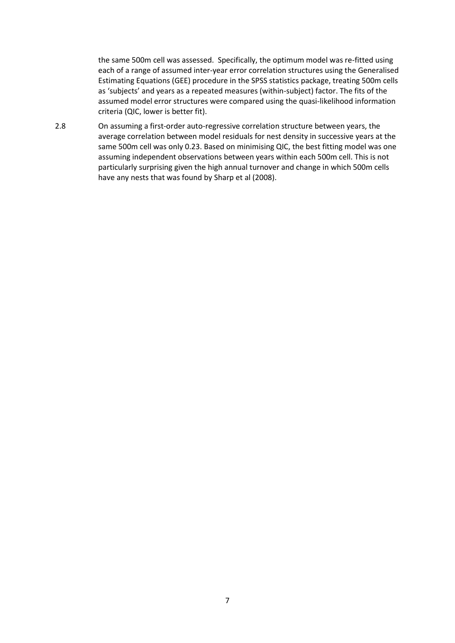the same 500m cell was assessed. Specifically, the optimum model was re-fitted using each of a range of assumed inter-year error correlation structures using the Generalised Estimating Equations (GEE) procedure in the SPSS statistics package, treating 500m cells as 'subjects' and years as a repeated measures (within-subject) factor. The fits of the assumed model error structures were compared using the quasi-likelihood information criteria (QIC, lower is better fit).

2.8 On assuming a first-order auto-regressive correlation structure between years, the average correlation between model residuals for nest density in successive years at the same 500m cell was only 0.23. Based on minimising QIC, the best fitting model was one assuming independent observations between years within each 500m cell. This is not particularly surprising given the high annual turnover and change in which 500m cells have any nests that was found by Sharp et al (2008).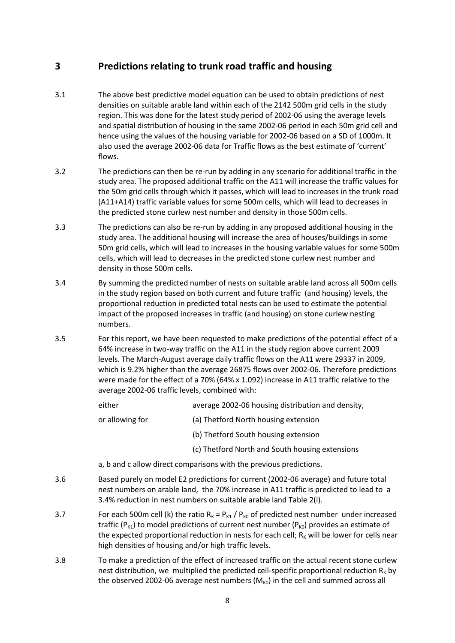### <span id="page-8-0"></span>**3 Predictions relating to trunk road traffic and housing**

- 3.1 The above best predictive model equation can be used to obtain predictions of nest densities on suitable arable land within each of the 2142 500m grid cells in the study region. This was done for the latest study period of 2002-06 using the average levels and spatial distribution of housing in the same 2002-06 period in each 50m grid cell and hence using the values of the housing variable for 2002-06 based on a SD of 1000m. It also used the average 2002-06 data for Traffic flows as the best estimate of 'current' flows.
- 3.2 The predictions can then be re-run by adding in any scenario for additional traffic in the study area. The proposed additional traffic on the A11 will increase the traffic values for the 50m grid cells through which it passes, which will lead to increases in the trunk road (A11+A14) traffic variable values for some 500m cells, which will lead to decreases in the predicted stone curlew nest number and density in those 500m cells.
- 3.3 The predictions can also be re-run by adding in any proposed additional housing in the study area. The additional housing will increase the area of houses/buildings in some 50m grid cells, which will lead to increases in the housing variable values for some 500m cells, which will lead to decreases in the predicted stone curlew nest number and density in those 500m cells.
- 3.4 By summing the predicted number of nests on suitable arable land across all 500m cells in the study region based on both current and future traffic (and housing) levels, the proportional reduction in predicted total nests can be used to estimate the potential impact of the proposed increases in traffic (and housing) on stone curlew nesting numbers.
- 3.5 For this report, we have been requested to make predictions of the potential effect of a 64% increase in two-way traffic on the A11 in the study region above current 2009 levels. The March-August average daily traffic flows on the A11 were 29337 in 2009, which is 9.2% higher than the average 26875 flows over 2002-06. Therefore predictions were made for the effect of a 70% (64% x 1.092) increase in A11 traffic relative to the average 2002-06 traffic levels, combined with:

| either | average 2002-06 housing distribution and density, |
|--------|---------------------------------------------------|
|        |                                                   |

- or allowing for (a) Thetford North housing extension
	- (b) Thetford South housing extension
	- (c) Thetford North and South housing extensions
- a, b and c allow direct comparisons with the previous predictions.
- 3.6 Based purely on model E2 predictions for current (2002-06 average) and future total nest numbers on arable land, the 70% increase in A11 traffic is predicted to lead to a 3.4% reduction in nest numbers on suitable arable land [Table 2\(](#page-9-0)i).
- 3.7 For each 500m cell (k) the ratio  $R_K = P_{K1} / P_{K0}$  of predicted nest number under increased traffic ( $P_{K1}$ ) to model predictions of current nest number ( $P_{K0}$ ) provides an estimate of the expected proportional reduction in nests for each cell;  $R<sub>k</sub>$  will be lower for cells near high densities of housing and/or high traffic levels.
- 3.8 To make a prediction of the effect of increased traffic on the actual recent stone curlew nest distribution, we multiplied the predicted cell-specific proportional reduction  $R<sub>K</sub>$  by the observed 2002-06 average nest numbers  $(M_{K0})$  in the cell and summed across all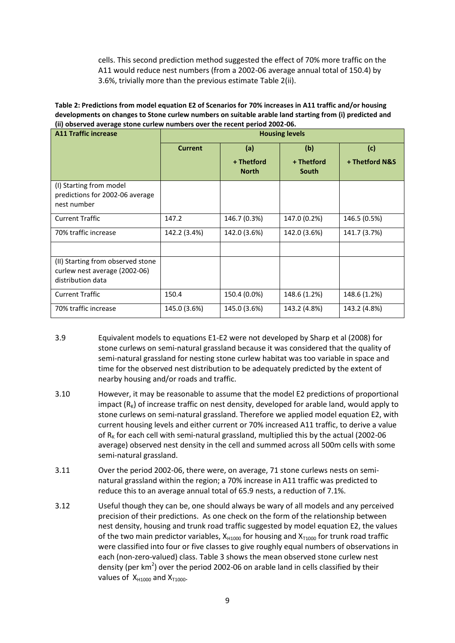cells. This second prediction method suggested the effect of 70% more traffic on the A11 would reduce nest numbers (from a 2002-06 average annual total of 150.4) by 3.6%, trivially more than the previous estimate [Table 2\(](#page-9-0)ii).

<span id="page-9-0"></span>

| Table 2: Predictions from model equation E2 of Scenarios for 70% increases in A11 traffic and/or housing |
|----------------------------------------------------------------------------------------------------------|
| developments on changes to Stone curlew numbers on suitable arable land starting from (i) predicted and  |
| (ii) observed average stone curlew numbers over the recent period 2002-06.                               |

| <b>A11 Traffic increase</b>                                                             | <b>Housing levels</b> |                            |                     |                |  |
|-----------------------------------------------------------------------------------------|-----------------------|----------------------------|---------------------|----------------|--|
|                                                                                         | <b>Current</b>        | (a)                        | (b)                 | (c)            |  |
|                                                                                         |                       | + Thetford<br><b>North</b> | + Thetford<br>South | + Thetford N&S |  |
| (I) Starting from model<br>predictions for 2002-06 average<br>nest number               |                       |                            |                     |                |  |
| <b>Current Traffic</b>                                                                  | 147.2                 | 146.7 (0.3%)               | 147.0 (0.2%)        | 146.5 (0.5%)   |  |
| 70% traffic increase                                                                    | 142.2 (3.4%)          | 142.0 (3.6%)               | 142.0 (3.6%)        | 141.7 (3.7%)   |  |
|                                                                                         |                       |                            |                     |                |  |
| (II) Starting from observed stone<br>curlew nest average (2002-06)<br>distribution data |                       |                            |                     |                |  |
| <b>Current Traffic</b>                                                                  | 150.4                 | 150.4 (0.0%)               | 148.6 (1.2%)        | 148.6 (1.2%)   |  |
| 70% traffic increase                                                                    | 145.0 (3.6%)          | 145.0 (3.6%)               | 143.2 (4.8%)        | 143.2 (4.8%)   |  |

- 3.9 Equivalent models to equations E1-E2 were not developed by Sharp et al (2008) for stone curlews on semi-natural grassland because it was considered that the quality of semi-natural grassland for nesting stone curlew habitat was too variable in space and time for the observed nest distribution to be adequately predicted by the extent of nearby housing and/or roads and traffic.
- 3.10 However, it may be reasonable to assume that the model E2 predictions of proportional impact  $(R_K)$  of increase traffic on nest density, developed for arable land, would apply to stone curlews on semi-natural grassland. Therefore we applied model equation E2, with current housing levels and either current or 70% increased A11 traffic, to derive a value of  $R<sub>K</sub>$  for each cell with semi-natural grassland, multiplied this by the actual (2002-06 average) observed nest density in the cell and summed across all 500m cells with some semi-natural grassland.
- 3.11 Over the period 2002-06, there were, on average, 71 stone curlews nests on seminatural grassland within the region; a 70% increase in A11 traffic was predicted to reduce this to an average annual total of 65.9 nests, a reduction of 7.1%.
- 3.12 Useful though they can be, one should always be wary of all models and any perceived precision of their predictions. As one check on the form of the relationship between nest density, housing and trunk road traffic suggested by model equation E2, the values of the two main predictor variables,  $X_{H1000}$  for housing and  $X_{T1000}$  for trunk road traffic were classified into four or five classes to give roughly equal numbers of observations in each (non-zero-valued) class. [Table 3](#page-10-0) shows the mean observed stone curlew nest density (per  $km^2$ ) over the period 2002-06 on arable land in cells classified by their values of  $X_{H1000}$  and  $X_{T1000}$ .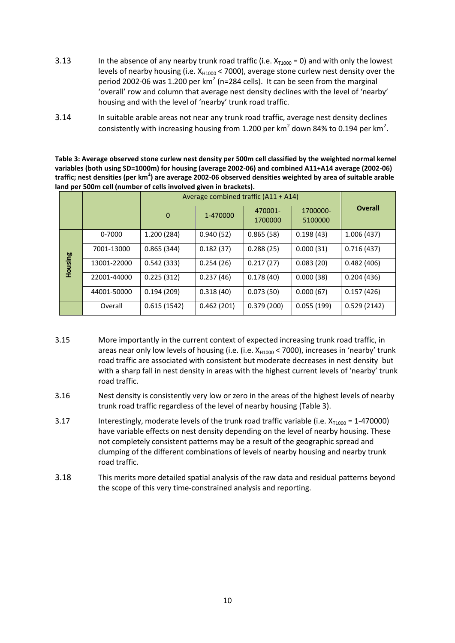- 3.13 In the absence of any nearby trunk road traffic (i.e.  $X_{T1000} = 0$ ) and with only the lowest levels of nearby housing (i.e.  $X_{H1000}$  < 7000), average stone curlew nest density over the period 2002-06 was 1.200 per  $km^2$  (n=284 cells). It can be seen from the marginal 'overall' row and column that average nest density declines with the level of 'nearby' housing and with the level of 'nearby' trunk road traffic.
- 3.14 In suitable arable areas not near any trunk road traffic, average nest density declines consistently with increasing housing from 1.200 per km<sup>2</sup> down 84% to 0.194 per km<sup>2</sup>.

<span id="page-10-0"></span>**Table 3: Average observed stone curlew nest density per 500m cell classified by the weighted normal kernel variables (both using SD=1000m) for housing (average 2002-06) and combined A11+A14 average (2002-06) traffic; nest densities (per km<sup>2</sup> ) are average 2002-06 observed densities weighted by area of suitable arable land per 500m cell (number of cells involved given in brackets).**

|         | Average combined traffic (A11 + A14) |                            |            |                    |                     |                |
|---------|--------------------------------------|----------------------------|------------|--------------------|---------------------|----------------|
|         |                                      | $\overline{0}$<br>1-470000 |            | 470001-<br>1700000 | 1700000-<br>5100000 | <b>Overall</b> |
|         | 0-7000                               | 1.200(284)                 | 0.940(52)  | 0.865(58)          | 0.198(43)           | 1.006(437)     |
|         | 7001-13000                           | 0.865(344)                 | 0.182(37)  | 0.288(25)          | 0.000(31)           | 0.716(437)     |
| Housing | 13001-22000                          | 0.542(333)                 | 0.254(26)  | 0.217(27)          | 0.083(20)           | 0.482(406)     |
|         | 22001-44000                          | 0.225(312)                 | 0.237(46)  | 0.178(40)          | 0.000(38)           | 0.204(436)     |
|         | 44001-50000                          | 0.194(209)                 | 0.318(40)  | 0.073(50)          | 0.000(67)           | 0.157(426)     |
|         | Overall                              | 0.615(1542)                | 0.462(201) | 0.379(200)         | 0.055(199)          | 0.529(2142)    |

- 3.15 More importantly in the current context of expected increasing trunk road traffic, in areas near only low levels of housing (i.e. (i.e.  $X_{H1000}$  < 7000), increases in 'nearby' trunk road traffic are associated with consistent but moderate decreases in nest density but with a sharp fall in nest density in areas with the highest current levels of 'nearby' trunk road traffic.
- 3.16 Nest density is consistently very low or zero in the areas of the highest levels of nearby trunk road traffic regardless of the level of nearby housing [\(Table 3\)](#page-10-0).
- 3.17 Interestingly, moderate levels of the trunk road traffic variable (i.e.  $X_{T1000} = 1-470000$ ) have variable effects on nest density depending on the level of nearby housing. These not completely consistent patterns may be a result of the geographic spread and clumping of the different combinations of levels of nearby housing and nearby trunk road traffic.
- 3.18 This merits more detailed spatial analysis of the raw data and residual patterns beyond the scope of this very time-constrained analysis and reporting.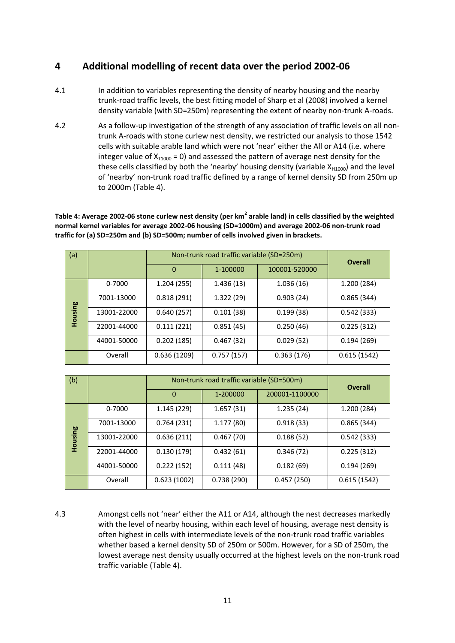### <span id="page-11-0"></span>**4 Additional modelling of recent data over the period 2002-06**

- 4.1 In addition to variables representing the density of nearby housing and the nearby trunk-road traffic levels, the best fitting model of Sharp et al (2008) involved a kernel density variable (with SD=250m) representing the extent of nearby non-trunk A-roads.
- 4.2 As a follow-up investigation of the strength of any association of traffic levels on all nontrunk A-roads with stone curlew nest density, we restricted our analysis to those 1542 cells with suitable arable land which were not 'near' either the All or A14 (i.e. where integer value of  $X_{T1000} = 0$ ) and assessed the pattern of average nest density for the these cells classified by both the 'nearby' housing density (variable  $X_{H1000}$ ) and the level of 'nearby' non-trunk road traffic defined by a range of kernel density SD from 250m up to 2000m [\(Table 4\)](#page-11-1).

<span id="page-11-1"></span>Table 4: Average 2002-06 stone curlew nest density (per km<sup>2</sup> arable land) in cells classified by the weighted **normal kernel variables for average 2002-06 housing (SD=1000m) and average 2002-06 non-trunk road traffic for (a) SD=250m and (b) SD=500m; number of cells involved given in brackets.**

| (a)     |             | Non-trunk road traffic variable (SD=250m) | <b>Overall</b> |               |             |
|---------|-------------|-------------------------------------------|----------------|---------------|-------------|
|         |             | $\Omega$                                  | 1-100000       | 100001-520000 |             |
|         | 0-7000      | 1.204 (255)                               | 1.436(13)      | 1.036(16)     | 1.200 (284) |
|         | 7001-13000  | 0.818(291)                                | 1.322(29)      | 0.903(24)     | 0.865(344)  |
| Housing | 13001-22000 | 0.640(257)                                | 0.101(38)      | 0.199(38)     | 0.542(333)  |
|         | 22001-44000 | 0.111(221)                                | 0.851(45)      | 0.250(46)     | 0.225(312)  |
|         | 44001-50000 | 0.202(185)                                | 0.467(32)      | 0.029(52)     | 0.194(269)  |
|         | Overall     | 0.636(1209)                               | 0.757(157)     | 0.363(176)    | 0.615(1542) |

| (b)     |             | Non-trunk road traffic variable (SD=500m) | <b>Overall</b> |                |             |
|---------|-------------|-------------------------------------------|----------------|----------------|-------------|
|         |             | $\mathbf 0$                               | 1-200000       | 200001-1100000 |             |
|         | 0-7000      | 1.145 (229)                               | 1.657(31)      | 1.235(24)      | 1.200 (284) |
|         | 7001-13000  | 0.764(231)                                | 1.177(80)      | 0.918(33)      | 0.865(344)  |
| Housing | 13001-22000 | 0.636(211)                                | 0.467(70)      | 0.188(52)      | 0.542(333)  |
|         | 22001-44000 | 0.130(179)                                | 0.432(61)      | 0.346(72)      | 0.225(312)  |
|         | 44001-50000 | 0.222(152)                                | 0.111(48)      | 0.182(69)      | 0.194(269)  |
|         | Overall     | 0.623(1002)                               | 0.738(290)     | 0.457(250)     | 0.615(1542) |

4.3 Amongst cells not 'near' either the A11 or A14, although the nest decreases markedly with the level of nearby housing, within each level of housing, average nest density is often highest in cells with intermediate levels of the non-trunk road traffic variables whether based a kernel density SD of 250m or 500m. However, for a SD of 250m, the lowest average nest density usually occurred at the highest levels on the non-trunk road traffic variable [\(Table 4\)](#page-11-1).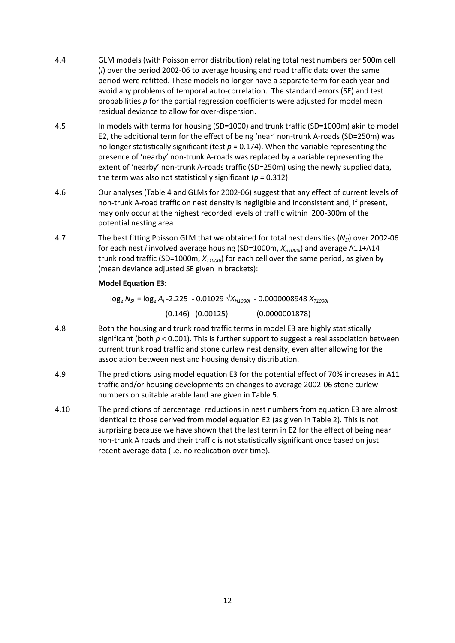- 4.4 GLM models (with Poisson error distribution) relating total nest numbers per 500m cell (*i*) over the period 2002-06 to average housing and road traffic data over the same period were refitted. These models no longer have a separate term for each year and avoid any problems of temporal auto-correlation. The standard errors (SE) and test probabilities *p* for the partial regression coefficients were adjusted for model mean residual deviance to allow for over-dispersion.
- 4.5 In models with terms for housing (SD=1000) and trunk traffic (SD=1000m) akin to model E2, the additional term for the effect of being 'near' non-trunk A-roads (SD=250m) was no longer statistically significant (test *p* = 0.174). When the variable representing the presence of 'nearby' non-trunk A-roads was replaced by a variable representing the extent of 'nearby' non-trunk A-roads traffic (SD=250m) using the newly supplied data, the term was also not statistically significant ( $p = 0.312$ ).
- 4.6 Our analyses [\(Table 4](#page-11-1) and GLMs for 2002-06) suggest that any effect of current levels of non-trunk A-road traffic on nest density is negligible and inconsistent and, if present, may only occur at the highest recorded levels of traffic within 200-300m of the potential nesting area
- 4.7 The best fitting Poisson GLM that we obtained for total nest densities (*NSi*) over 2002-06 for each nest *i* involved average housing (SD=1000m, *XH1000i*) and average A11+A14 trunk road traffic (SD=1000m,  $X_{T1000i}$ ) for each cell over the same period, as given by (mean deviance adjusted SE given in brackets):

#### **Model Equation E3:**

log<sup>e</sup> *NSi* = log<sup>e</sup> *A<sup>i</sup>* -2.225 - 0.01029 √*XH1000i* - 0.0000008948 *XT1000i*

(0.146) (0.00125) (0.0000001878)

- 4.8 Both the housing and trunk road traffic terms in model E3 are highly statistically significant (both *p* < 0.001). This is further support to suggest a real association between current trunk road traffic and stone curlew nest density, even after allowing for the association between nest and housing density distribution.
- 4.9 The predictions using model equation E3 for the potential effect of 70% increases in A11 traffic and/or housing developments on changes to average 2002-06 stone curlew numbers on suitable arable land are given in [Table 5.](#page-13-0)
- 4.10 The predictions of percentage reductions in nest numbers from equation E3 are almost identical to those derived from model equation E2 (as given in [Table 2\)](#page-9-0). This is not surprising because we have shown that the last term in E2 for the effect of being near non-trunk A roads and their traffic is not statistically significant once based on just recent average data (i.e. no replication over time).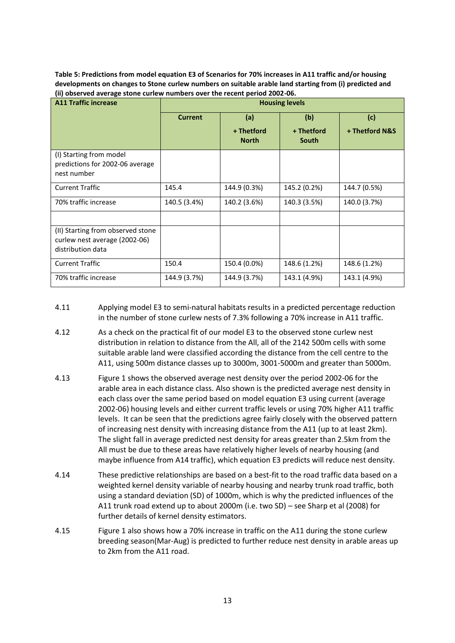<span id="page-13-0"></span>**Table 5: Predictions from model equation E3 of Scenarios for 70% increases in A11 traffic and/or housing developments on changes to Stone curlew numbers on suitable arable land starting from (i) predicted and (ii) observed average stone curlew numbers over the recent period 2002-06.**

| <b>A11 Traffic increase</b>                                                             | <b>Housing levels</b> |                            |                     |                |  |
|-----------------------------------------------------------------------------------------|-----------------------|----------------------------|---------------------|----------------|--|
|                                                                                         | <b>Current</b>        | (a)                        | (b)                 | (c)            |  |
|                                                                                         |                       | + Thetford<br><b>North</b> | + Thetford<br>South | + Thetford N&S |  |
| (I) Starting from model<br>predictions for 2002-06 average<br>nest number               |                       |                            |                     |                |  |
| <b>Current Traffic</b>                                                                  | 145.4                 | 144.9 (0.3%)               | 145.2 (0.2%)        | 144.7 (0.5%)   |  |
| 70% traffic increase                                                                    | 140.5 (3.4%)          | 140.2 (3.6%)               | 140.3 (3.5%)        | 140.0 (3.7%)   |  |
|                                                                                         |                       |                            |                     |                |  |
| (II) Starting from observed stone<br>curlew nest average (2002-06)<br>distribution data |                       |                            |                     |                |  |
| <b>Current Traffic</b>                                                                  | 150.4                 | 150.4 (0.0%)               | 148.6 (1.2%)        | 148.6 (1.2%)   |  |
| 70% traffic increase                                                                    | 144.9 (3.7%)          | 144.9 (3.7%)               | 143.1 (4.9%)        | 143.1 (4.9%)   |  |

- 4.11 Applying model E3 to semi-natural habitats results in a predicted percentage reduction in the number of stone curlew nests of 7.3% following a 70% increase in A11 traffic.
- 4.12 As a check on the practical fit of our model E3 to the observed stone curlew nest distribution in relation to distance from the All, all of the 2142 500m cells with some suitable arable land were classified according the distance from the cell centre to the A11, using 500m distance classes up to 3000m, 3001-5000m and greater than 5000m.
- 4.13 [Figure 1](#page-14-0) shows the observed average nest density over the period 2002-06 for the arable area in each distance class. Also shown is the predicted average nest density in each class over the same period based on model equation E3 using current (average 2002-06) housing levels and either current traffic levels or using 70% higher A11 traffic levels. It can be seen that the predictions agree fairly closely with the observed pattern of increasing nest density with increasing distance from the A11 (up to at least 2km). The slight fall in average predicted nest density for areas greater than 2.5km from the All must be due to these areas have relatively higher levels of nearby housing (and maybe influence from A14 traffic), which equation E3 predicts will reduce nest density.
- 4.14 These predictive relationships are based on a best-fit to the road traffic data based on a weighted kernel density variable of nearby housing and nearby trunk road traffic, both using a standard deviation (SD) of 1000m, which is why the predicted influences of the A11 trunk road extend up to about 2000m (i.e. two SD) – see Sharp et al (2008) for further details of kernel density estimators.
- 4.15 [Figure 1](#page-14-0) also shows how a 70% increase in traffic on the A11 during the stone curlew breeding season(Mar-Aug) is predicted to further reduce nest density in arable areas up to 2km from the A11 road.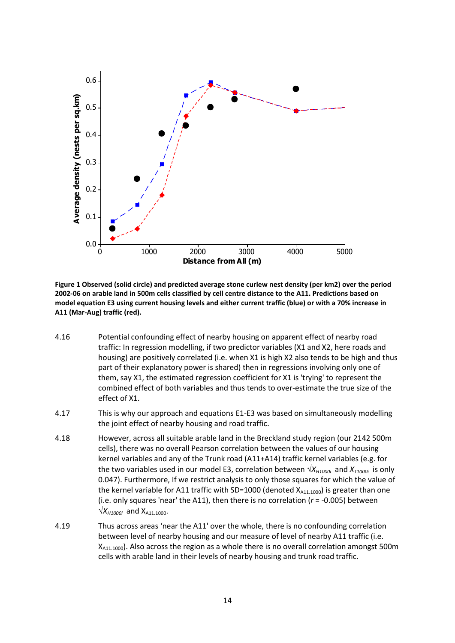

<span id="page-14-0"></span>**Figure 1 Observed (solid circle) and predicted average stone curlew nest density (per km2) over the period 2002-06 on arable land in 500m cells classified by cell centre distance to the A11. Predictions based on model equation E3 using current housing levels and either current traffic (blue) or with a 70% increase in A11 (Mar-Aug) traffic (red).**

- 4.16 Potential confounding effect of nearby housing on apparent effect of nearby road traffic: In regression modelling, if two predictor variables (X1 and X2, here roads and housing) are positively correlated (i.e. when X1 is high X2 also tends to be high and thus part of their explanatory power is shared) then in regressions involving only one of them, say X1, the estimated regression coefficient for X1 is 'trying' to represent the combined effect of both variables and thus tends to over-estimate the true size of the effect of X1.
- 4.17 This is why our approach and equations E1-E3 was based on simultaneously modelling the joint effect of nearby housing and road traffic.
- 4.18 However, across all suitable arable land in the Breckland study region (our 2142 500m cells), there was no overall Pearson correlation between the values of our housing kernel variables and any of the Trunk road (A11+A14) traffic kernel variables (e.g. for the two variables used in our model E3, correlation between  $\sqrt{X_{H1000i}}$  and  $X_{T1000i}$  is only 0.047). Furthermore, If we restrict analysis to only those squares for which the value of the kernel variable for A11 traffic with SD=1000 (denoted  $X_{A11.1000}$ ) is greater than one (i.e. only squares 'near' the A11), then there is no correlation (*r* = -0.005) between  $\sqrt{X_{H1000i}}$  and  $X_{A11,1000}$ .
- 4.19 Thus across areas 'near the A11' over the whole, there is no confounding correlation between level of nearby housing and our measure of level of nearby A11 traffic (i.e. X<sub>A11.1000</sub>). Also across the region as a whole there is no overall correlation amongst 500m cells with arable land in their levels of nearby housing and trunk road traffic.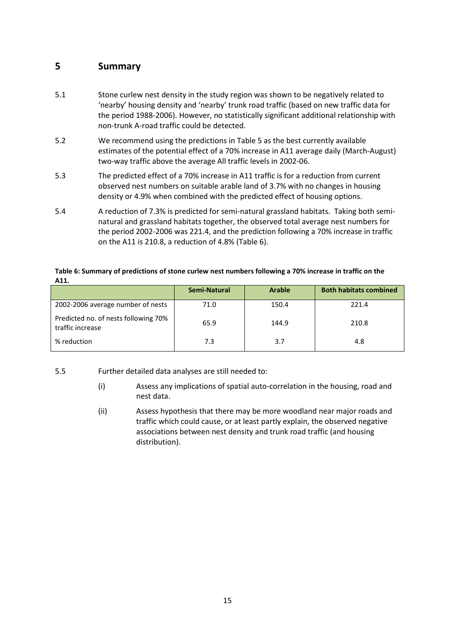### <span id="page-15-0"></span>**5 Summary**

- 5.1 Stone curlew nest density in the study region was shown to be negatively related to 'nearby' housing density and 'nearby' trunk road traffic (based on new traffic data for the period 1988-2006). However, no statistically significant additional relationship with non-trunk A-road traffic could be detected.
- 5.2 We recommend using the predictions in [Table 5](#page-13-0) as the best currently available estimates of the potential effect of a 70% increase in A11 average daily (March-August) two-way traffic above the average All traffic levels in 2002-06.
- 5.3 The predicted effect of a 70% increase in A11 traffic is for a reduction from current observed nest numbers on suitable arable land of 3.7% with no changes in housing density or 4.9% when combined with the predicted effect of housing options.
- 5.4 A reduction of 7.3% is predicted for semi-natural grassland habitats. Taking both seminatural and grassland habitats together, the observed total average nest numbers for the period 2002-2006 was 221.4, and the prediction following a 70% increase in traffic on the A11 is 210.8, a reduction of 4.8% [\(Table 6\)](#page-15-1).

#### <span id="page-15-1"></span>**Table 6: Summary of predictions of stone curlew nest numbers following a 70% increase in traffic on the A11.**

|                                                          | Semi-Natural | <b>Arable</b> | <b>Both habitats combined</b> |
|----------------------------------------------------------|--------------|---------------|-------------------------------|
| 2002-2006 average number of nests                        | 71.0         | 150.4         | 221.4                         |
| Predicted no. of nests following 70%<br>traffic increase | 65.9         | 144.9         | 210.8                         |
| % reduction                                              | 7.3          | 3.7           | 4.8                           |

- 5.5 Further detailed data analyses are still needed to:
	- (i) Assess any implications of spatial auto-correlation in the housing, road and nest data.
	- (ii) Assess hypothesis that there may be more woodland near major roads and traffic which could cause, or at least partly explain, the observed negative associations between nest density and trunk road traffic (and housing distribution).